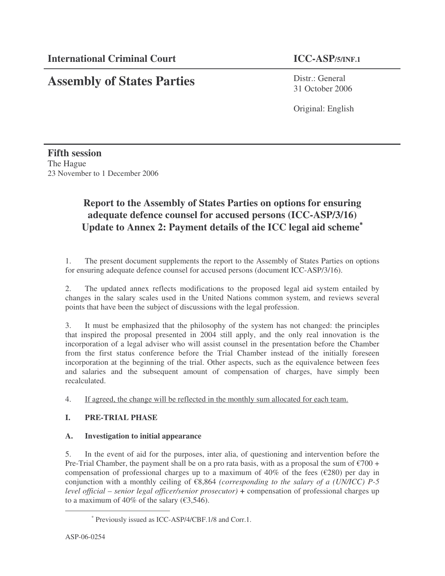# **Assembly of States Parties**

Distr.: General 31 October 2006

Original: English

### **Fifth session** The Hague 23 November to 1 December 2006

## **Report to the Assembly of States Parties on options for ensuring adequate defence counsel for accused persons (ICC-ASP/3/16) Update to Annex 2: Payment details of the ICC legal aid scheme** ∗

1. The present document supplements the report to the Assembly of States Parties on options for ensuring adequate defence counsel for accused persons (document ICC-ASP/3/16).

2. The updated annex reflects modifications to the proposed legal aid system entailed by changes in the salary scales used in the United Nations common system, and reviews several points that have been the subject of discussions with the legal profession.

3. It must be emphasized that the philosophy of the system has not changed: the principles that inspired the proposal presented in 2004 still apply, and the only real innovation is the incorporation of a legal adviser who will assist counsel in the presentation before the Chamber from the first status conference before the Trial Chamber instead of the initially foreseen incorporation at the beginning of the trial. Other aspects, such as the equivalence between fees and salaries and the subsequent amount of compensation of charges, have simply been recalculated.

4. If agreed, the change will be reflected in the monthly sum allocated for each team.

#### **I. PRE-TRIAL PHASE**

#### **A. Investigation to initial appearance**

5. In the event of aid for the purposes, inter alia, of questioning and intervention before the Pre-Trial Chamber, the payment shall be on a pro rata basis, with as a proposal the sum of  $\epsilon$ 700 + compensation of professional charges up to a maximum of 40% of the fees ( $\epsilon$ 280) per day in conjunction with a monthly ceiling of €8,864 *(corresponding to the salary of a (UN/ICC) P-5 level official – senior legal officer/senior prosecutor) +* compensation of professional charges up to a maximum of 40% of the salary  $(63,546)$ .

<sup>∗</sup> Previously issued as ICC-ASP/4/CBF.1/8 and Corr.1.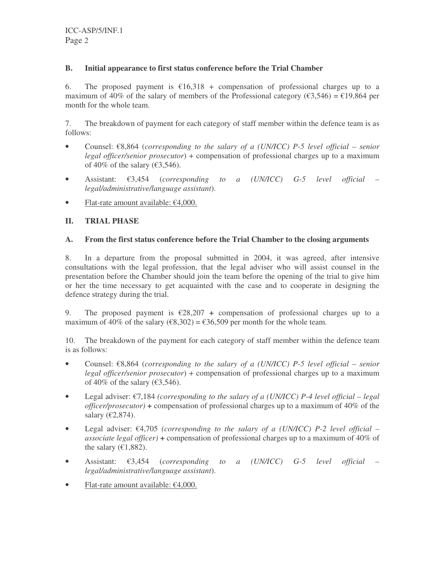#### **B. Initial appearance to first status conference before the Trial Chamber**

6. The proposed payment is  $\epsilon$ 16,318 + compensation of professional charges up to a maximum of 40% of the salary of members of the Professional category ( $\epsilon$ 3,546) =  $\epsilon$ 19,864 per month for the whole team.

7. The breakdown of payment for each category of staff member within the defence team is as follows:

- Counsel: €8,864 (*corresponding to the salary of a (UN/ICC) P-5 level official – senior legal officer/senior prosecutor*) + compensation of professional charges up to a maximum of 40% of the salary ( $\epsilon$ 3,546).
- Assistant: €3,454 (*corresponding to a (UN/ICC) G-5 level official – legal/administrative/language assistant*).
- Flat-rate amount available:  $€4,000$ .

#### **II. TRIAL PHASE**

#### **A. From the first status conference before the Trial Chamber to the closing arguments**

8. In a departure from the proposal submitted in 2004, it was agreed, after intensive consultations with the legal profession, that the legal adviser who will assist counsel in the presentation before the Chamber should join the team before the opening of the trial to give him or her the time necessary to get acquainted with the case and to cooperate in designing the defence strategy during the trial.

9. The proposed payment is  $\epsilon$ 28,207 + compensation of professional charges up to a maximum of 40% of the salary ( $\epsilon$ 8,302) =  $\epsilon$ 36,509 per month for the whole team.

10. The breakdown of the payment for each category of staff member within the defence team is as follows:

- Counsel: €8,864 (*corresponding to the salary of a (UN/ICC) P-5 level official – senior legal officer/senior prosecutor*) + compensation of professional charges up to a maximum of 40% of the salary ( $\epsilon$ 3,546).
- Legal adviser: €7,184 *(corresponding to the salary of a (UN/ICC) P-4 level official – legal officer/prosecutor) +* compensation of professional charges up to a maximum of 40% of the salary  $(\text{\textsterling}2,874)$ .
- Legal adviser: €4,705 *(corresponding to the salary of a (UN/ICC) P-2 level official – associate legal officer) +* compensation of professional charges up to a maximum of 40% of the salary ( $\epsilon$ 1,882).
- Assistant: €3,454 (*corresponding to a (UN/ICC) G-5 level official – legal/administrative/language assistant*).
- Flat-rate amount available:  $€4,000$ .